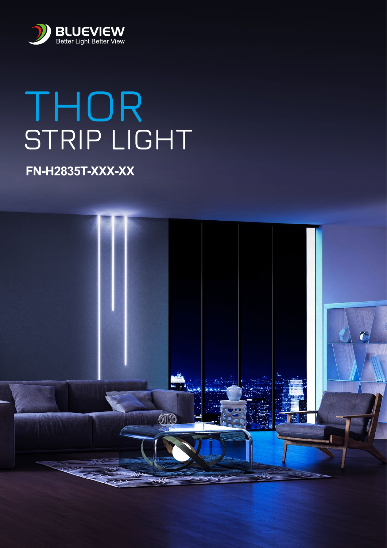

# THOR<br>STRIP LIGHT

# **FN-H2835T-XXX-XX**

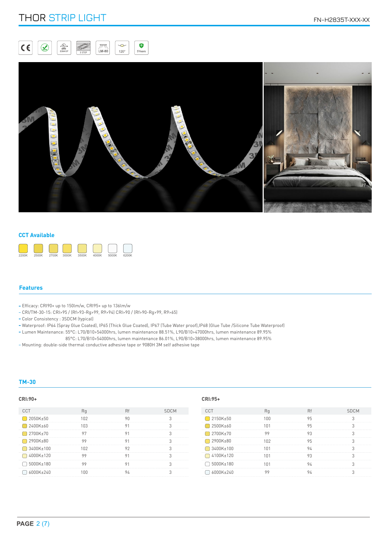# THOR STRIP LIGHT FRAME THOR STRIP LIGHT





# **CCT Available**



# **Features**

- Efficacy: CRI90+ up to 150lm/w, CRI95+ up to 136lm/w
- CRI/TM-30-15: CRI>95 / (Rf>93-Rg>99, R9>94) CRI>90 / (Rf>90-Rg>99, R9>65)
- Color Consistency : 3SDCM (typical)
- Waterproof: IP64 (Spray Glue Coated), IP65 (Thick Glue Coated), IP67 (Tube Water proof),IP68 (Glue Tube /Silicone Tube Waterproof)
- Lumen Maintenance: 55°C: L70/B10>54000hrs, lumen maintenance 88.51%, L90/B10>47000hrs, lumen maintenance 89.95%
- Lumen Maintenance: 85°C: L70/B10>54000hrs, lumen maintenance 86.01%, L90/B10>38000hrs, lumen maintenance 89.95%
- Mounting: double-side thermal conductive adhesive tape or 9080H 3M self adhesive tape

# **TM-30**

## **CRI:90+ CRI:95+**

| <b>CCT</b>  | Rq  | Rf | <b>SDCM</b> | CCT         |
|-------------|-----|----|-------------|-------------|
| 2050K±50    | 102 | 90 |             | 2150K±50    |
| 2400K±60    | 103 | 91 |             | 2500K±60    |
| 2700K±70    | 97  | 91 |             | □ 2700K±70  |
| 2900K±80    | 99  | 91 |             | 2900K±80    |
| □ 3400K±100 | 102 | 92 |             | □ 3400K±100 |
| □ 4000K±120 | 99  | 91 |             | □ 4100K±120 |
| □ 5000K±180 | 99  | 91 |             | □ 5000K±180 |
| 6000K+240   | 100 | 94 |             | 6000K±240   |

| <b>SDCM</b> | <b>CCT</b>          | Rq              | <b>Rf</b> | <b>SDCM</b> |
|-------------|---------------------|-----------------|-----------|-------------|
|             | 2150K±50            | 100             | 95        |             |
|             | □ 2500K±60          | 101             | 95        |             |
|             | 2700K±70            | 99              | 93        |             |
|             | 2900K±80            | 102             | 95        |             |
|             | $\bigcap$ 3400K±100 | 101             | 94        |             |
|             | □ 4100K±120         | 101             | 93        |             |
|             | □ 5000K±180         | 1 <sub>01</sub> | 94        |             |
|             | 6000K±240           | ٥q              | 94        |             |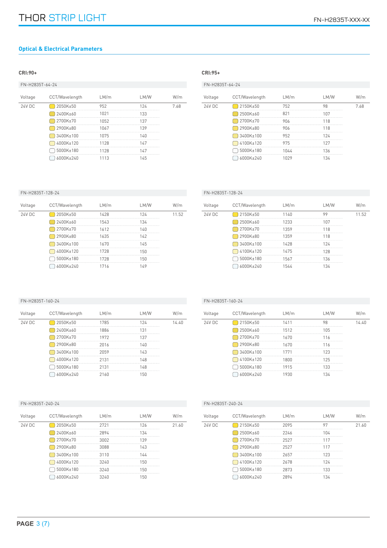# **Optical & Electrical Parameters**

# **CRI:90+ CRI:95+**

| FN-H2835T-64-24 |                |      |      |      |  |
|-----------------|----------------|------|------|------|--|
| Voltage         | CCT/Wavelength | LM/m | LM/W | W/m  |  |
| <b>24V DC</b>   | 2050K±50       | 952  | 124  | 7.68 |  |
|                 | 2400K+60       | 1021 | 133  |      |  |
|                 | 2700K±70       | 1052 | 137  |      |  |
|                 | 2900K±80       | 1067 | 139  |      |  |
|                 | 3400K±100      | 1075 | 140  |      |  |
|                 | 4000K±120      | 1128 | 147  |      |  |
|                 | 5000K±180      | 1128 | 147  |      |  |
|                 | 6000K±240      | 1113 | 145  |      |  |

# FN-H2835T-64-24

| Voltage       | CCT/Wavelength | LM/m | LM/W                             | W/m |
|---------------|----------------|------|----------------------------------|-----|
| <b>24V DC</b> | 2150K±50       | 752  | 98                               | 768 |
|               | 2500K±60       | 821  | 107<br>------------------------- |     |
|               | 2700K±70       | 906  | 118                              |     |
|               | 2900K±80       | 906  | 118                              |     |
|               | 3400K±100      | 952  | 124                              |     |
|               | 4100K±120      | 975  | 127                              |     |
|               | 5000K±180      | 1044 | 136                              |     |
|               | 6000K±240      | በንዓ  | 37                               |     |

# FN-H2835T-128-24

| Voltage | CCT/Wavelength | LM/m | LM/W | W/m   |
|---------|----------------|------|------|-------|
| 24V DC  | 2050K±50       | 1428 | 124  | 11.52 |
|         | 2400K±60       | 1543 | 134  |       |
|         | 2700K±70       | 1612 | 14በ  |       |
|         | 2900K±80       | 1635 | 142  |       |
|         | 3400K±100      | 1670 | 145  |       |
|         | 4000K±120      | 1728 | 150  |       |
|         | 5000K±180      | 1728 | 150  |       |
|         | 6000K±240      | 1716 | 149  |       |

# FN-H2835T-128-24

| Voltage | CCT/Wavelength | LM/m | LM/W | W/m   |
|---------|----------------|------|------|-------|
| 24V DC  | 2150K±50       | 1140 | 99   | 11.52 |
|         | 2500K±60       | 1233 | 107  |       |
|         | 2700K±70       | 1359 | 118  |       |
|         | 2900K±80       | 1359 | 118  |       |
|         | 3400K±100      | 1428 | 124  |       |
|         | 4100K±120      | 1475 | 128  |       |
|         | 5000K±180      | 1567 | 136  |       |
|         | 6000K±240      | 1544 | 134  |       |

# FN-H2835T-160-24

| Voltage | CCT/Wavelength | LM/m | LM/W | W/m   |
|---------|----------------|------|------|-------|
| 24V DC  | 2050K±50       | 1785 | 124  | 14 40 |
|         | 2400K±60       | 1886 | 131  |       |
|         | 2700K±70       | 1972 | 137  |       |
|         | 2900K±80       | 2016 | 14በ  |       |
|         | 3400K±100      | 2059 | 143  |       |
|         | 4000K±120      | 2131 | 148  |       |
|         | 5000K±180      | 2131 | 148  |       |
|         | 6000K+240      | 2160 | 50   |       |

# FN-H2835T-160-24

 $\overline{24V}$ 

| Voltage | CCT/Wavelength | LM/m | LM/W                      | N/m   |
|---------|----------------|------|---------------------------|-------|
| 24V DC  | 2150K±50       | 1411 | 98                        | 14 40 |
|         | 2500K±60       | 1512 | 105                       |       |
|         | 2700K±70       | 1670 | 116                       |       |
|         | 2900K±80       | 1670 | 116                       |       |
|         | 3400K±100      | 1771 | 123                       |       |
|         | 4100K±120      | 1800 | 125<br>------------------ |       |
|         | 5000K±180      | 1915 | 133                       |       |
|         | 6000K±240      | 1930 | 134                       |       |

# FN-H2835T-240-24

| Voltage | CCT/Wavelength | LM/m | LM/W | W/m   |
|---------|----------------|------|------|-------|
| 24V DC  | 2050K±50       | 2721 | 126  | 21.60 |
|         | 2400K±60       | 2894 | 134  |       |
|         | 2700K±70       | 3002 | 139  |       |
|         | 2900K±80       | 3088 | 143  |       |
|         | 3400K±100      | 3110 | 144  |       |
|         | 4000K±120      | 3240 | 150  |       |
|         | 5000K±180      | 3240 | 150  |       |
|         | 6000K±240      | 3240 | 150  |       |

# FN-H2835T-240-24

| Voltage | CCT/Wavelength | LM/m | LM/W | W/m   |
|---------|----------------|------|------|-------|
| 24V DC  | 2150K±50       | 2095 | 97   | 21.60 |
|         | 2500K±60       | 2246 | 104  |       |
|         | 2700K±70       | 2527 | 117  |       |
|         | 2900K±80       | 2527 | 117  |       |
|         | 3400K±100      | 2657 | 123  |       |
|         | 4100K±120      | 2678 | 124  |       |
|         | 5000K±180      | 2873 | 133  |       |
|         | 6000K±240      | 2894 | 134  |       |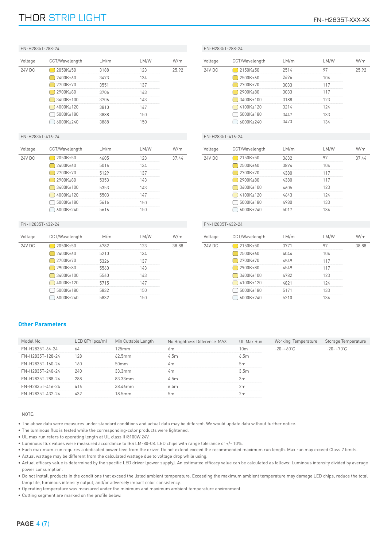# THOR STRIP LIGHT FRAME STRIP LIGHT

| Voltage          | CCT/Wavelength | LM/m | LM/W | W/m   |
|------------------|----------------|------|------|-------|
| <b>24V DC</b>    | 2050K±50       | 3188 | 123  | 25.92 |
|                  | 2400K±60       | 3473 | 134  |       |
|                  | 2700K±70       | 3551 | 137  |       |
|                  | 2900K±80       | 3706 | 143  |       |
|                  | 3400K±100      | 3706 | 143  |       |
|                  | 4000K±120      | 3810 | 147  |       |
|                  | 5000K±180      | 3888 | 150  |       |
|                  | 6000K±240      | 3888 | 150  |       |
| FN-H2835T-416-24 |                |      |      |       |
|                  |                |      |      |       |

| Voltage       | CCT/Wavelength | LM/m | LM/W | W/m   |
|---------------|----------------|------|------|-------|
| <b>24V DC</b> | 2050K±50       | 4605 | 123  | 37 44 |
|               | 2400K±60       | 5016 | 134  |       |
|               | 2700K±70       | 5129 | 137  |       |
|               | 2900K±80       | 5353 | 143  |       |
|               | 3400K±100      | 5353 | 143  |       |
|               | 4000K±120      | 5503 | 147  |       |
|               | 5000K±180      | 5616 | 150  |       |
|               | 6000K+240      | 5616 | 150  |       |

# FN-H2835T-432-24

| Voltage | CCT/Wavelength | LM/m | LM/W | W/m   |
|---------|----------------|------|------|-------|
| 24V DC  | 2050K±50       | 4782 | 123  | 38.88 |
|         | 2400K±60       | 5210 | 134  |       |
|         | 2700K±70       | 5326 | 137  |       |
|         | 2900K±80       | 5560 | 143  |       |
|         | 3400K±100      | 5560 | 143  |       |
|         | 4000K±120      | 5715 | 147  |       |
|         | 5000K±180      | 5832 | 150  |       |
|         | 6000K+240      | 5832 | 150  |       |

# FN-H2835T-288-24

| Voltage | CCT/Wavelength | LM/m | LM/W | W/m  |
|---------|----------------|------|------|------|
| 24V DC  | 2150K±50       | 2514 | 97   | 2592 |
|         | 2500K±60       | 2696 | 104  |      |
|         | 2700K±70       | 3033 | 117  |      |
|         | 2900K±80       | 3033 | 117  |      |
|         | 3400K±100      | 3188 | 123  |      |
|         | 4100K±120      | 3214 | 124  |      |
|         | 5000K±180      | 3447 | 133  |      |
|         | 6000K±240      | 3473 | 134  |      |

# FN-H2835T-416-24

| Voltage       | CCT/Wavelength | LM/m | LM/W | W/m   |
|---------------|----------------|------|------|-------|
| <b>24V DC</b> | 2150K±50       | 3632 | 97   | 37 44 |
|               | 2500K±60       | 3894 | 104  |       |
|               | 2700K±70       | 4380 | 117  |       |
|               | 2900K±80       | 4380 | 117  |       |
|               | 3400K±100      | 4605 | 123  |       |
|               | 4100K±120      | 4643 | 124  |       |
|               | 5000K±180      | 4980 | 133  |       |
|               | 6000K+240      | 5017 | 134  |       |

# FN-H2835T-432-24

| Voltage | CCT/Wavelength | LM/m | LM/W | W/m   |
|---------|----------------|------|------|-------|
| 24V DC  | 2150K±50       | 3771 | 97   | 38.88 |
|         | 2500K±60       | 4044 | 104  |       |
|         | 2700K±70       | 4549 | 117  |       |
|         | 2900K±80       | 4549 | 117  |       |
|         | 3400K±100      | 4782 | 123  |       |
|         | 4100K±120      | 4821 | 124  |       |
|         | 5000K±180      | 5171 | 133  |       |
|         | 6000K±240      | 5210 | 134  |       |

# **Other Parameters**

| Model No.        | $LED$ QTY ( $pcs/m$ ) | Min Cuttable Length | No Brightness Difference MAX | UL Max Run       | Working Temperature  | Storage Temperature  |
|------------------|-----------------------|---------------------|------------------------------|------------------|----------------------|----------------------|
| FN-H2835T-64-24  | 64                    | 125mm               | 6m                           | 10 <sub>m</sub>  | $-20 - +60^{\circ}C$ | $-20 - +70^{\circ}C$ |
| FN-H2835T-128-24 | 128                   | 62.5mm              | 4.5m                         | 6.5m             |                      |                      |
| FN-H2835T-160-24 | 160                   | 50 <sub>mm</sub>    | 4 <sub>m</sub>               | 5 <sub>m</sub>   |                      |                      |
| FN-H2835T-240-24 | 240                   | 33.3mm              | 4m                           | 3.5 <sub>m</sub> |                      |                      |
| FN-H2835T-288-24 | 288                   | 83.33mm             | 4.5m                         | 3m               |                      |                      |
| FN-H2835T-416-24 | 416                   | 38.46mm             | 6.5m                         | 2m               |                      |                      |
| FN-H2835T-432-24 | 432                   | 18.5 <sub>mm</sub>  | 5 <sub>m</sub>               | 2m               |                      |                      |

## NOTE:

- The above data were measures under standard conditions and actual data may be different. We would update data without further notice.
- The luminous flux is tested while the corresponding-color products were lightened.
- UL max run refers to operating length at UL class II @100W.24V.
- Luminous flux values were measured accordance to IES LM-80-08. LED chips with range tolerance of +/- 10%.
- Each maximum-run requires a dedicated power feed from the driver. Do not extend exceed the recommended maximum run length. Max run may exceed Class 2 limits.
- Actual wattage may be different from the calculated wattage due to voltage drop while using.
- Actual efficacy value is determined by the specific LED driver (power supply). An estimated efficacy value can be calculated as follows: Luminous intensity divided by average power consumption.
- Do not install products in the conditions that exceed the listed ambient temperature. Exceeding the maximum ambient temperature may damage LED chips, reduce the total lamp life, luminous intensity output, and/or adversely impact color consistency.
- Operating temperature was measured under the minimum and maximum ambient temperature environment.
- Cutting segment are marked on the profile below.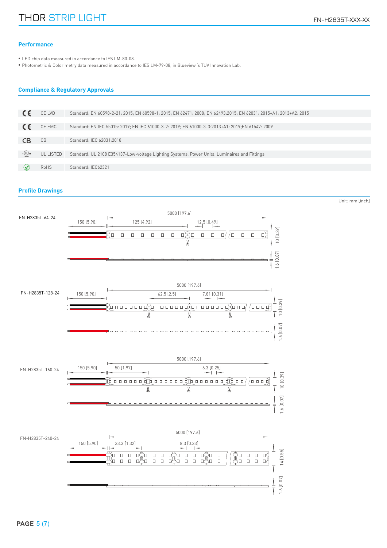# **Performance**

LED chip data measured in accordance to IES LM-80-08. •

• Photometric & Colorimetry data measured in accordance to IES LM-79-08, in Blueview 's TUV Innovation Lab.

# **Compliance & Regulatory Approvals**

|                                            | CE LVD    | Standard: EN 60598-2-21: 2015; EN 60598-1: 2015; EN 62471: 2008; EN 62493:2015; EN 62031: 2015+A1: 2013+A2: 2015 |
|--------------------------------------------|-----------|------------------------------------------------------------------------------------------------------------------|
|                                            |           |                                                                                                                  |
|                                            | CE EMC    | Standard: EN IEC 55015: 2019; EN IEC 61000-3-2: 2019; EN 61000-3-3:2013+A1: 2019; EN 61547: 2009                 |
|                                            |           |                                                                                                                  |
|                                            | CB        | Standard: IEC 62031:2018                                                                                         |
|                                            |           |                                                                                                                  |
| $c \overbrace{\text{U}}_{\text{LISTB}}$ us | UL LISTED | Standard: UL 2108 E354137-Low-voltage Lighting Systems, Power Units, Luminaires and Fittings                     |
|                                            |           |                                                                                                                  |
|                                            | RoHS      | Standard: IEC62321                                                                                               |

# **Profile Drawings**

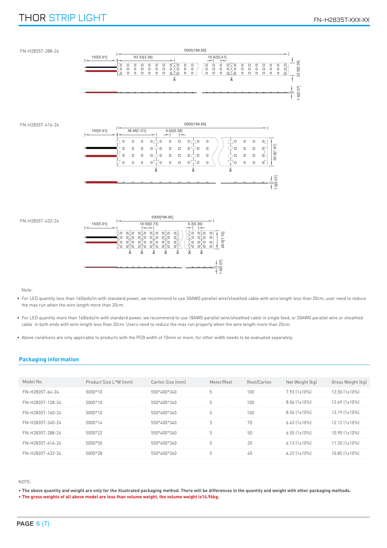# THOR STRIP LIGHT FRAME THE STRIP LIGHT FOR THE STRIP LIGHT FRAME THAT THE STRIP THAT THE STRIP THAT THE STRIP THAT THE STRIP THAT THE STRIP THAT THE STRIP THAT THE STRIP THAT THE STRIP THAT THE STRIP THAT THE STRIP THAT TH



Note:

- For LED quantity less than 160leds/m with standard power, we recommend to use 20AWG parallel wire/sheathed cable with wire length less than 20cm, user need to reduce the max run when the wire length more than 20cm.
- For LED quantity more than 160leds/m with standard power, we recommend to use 18AWG parallel wire/sheathed cable in single feed, or 20AWG parallel wire or sheathed cable in both ends with wire length less than 20cm. Users need to reduce the max run properly when the wire length more than 20cm.
- Above conditions are only applicable to products with the PCB width of 10mm or more, for other width needs to be evaluated separately. •

# **Packaging information**

| Model No.        | Product Size L*W (mm) | Carton Size (mm) | Meter/Reel | Reel/Carton | Net Weight (kg)     | Gross Weight (kg)    |
|------------------|-----------------------|------------------|------------|-------------|---------------------|----------------------|
| FN-H2835T-64-24  | $5000*10$             | 550*400*340      | 5          | 100         | $7.93$ $(1\pm10\%)$ | $12.50$ $(1\pm10\%)$ |
| FN-H2835T-128-24 | 5000*10               | 550*400*340      | 5          | 100         | $8.06$ $(1\pm10\%)$ | $12.69$ $[1\pm10\%]$ |
| FN-H2835T-160-24 | $5000*10$             | 550*400*340      | 5          | 100         | $8.56$ $(1\pm10\%)$ | $13.19$ $[1\pm10\%]$ |
| FN-H2835T-240-24 | 5000*14               | 550*400*340      | 5          | 70          | $6.63$ $(1\pm10\%)$ | $12.12$ $[1\pm10\%]$ |
| FN-H2835T-288-24 | 5000*22               | 550*400*340      | 5          | 50          | $6.55$ $(1\pm10\%)$ | $10.90$ $(1\pm10\%)$ |
| FN-H2835T-416-24 | 5000*50               | 550*400*340      | 5          | 20          | $6.13$ $(1\pm10\%)$ | $11.20$ $(1\pm10\%)$ |
| FN-H2835T-432-24 | 5000*28               | 550*400*340      | 5          | 40          | $6.22$ $(1\pm10\%)$ | $10.85$ $[1\pm10\%]$ |

NOTE:

• **The above quantity and weight are only for the illustrated packaging method. There will be differences in the quantity and weight with other packaging methods.**

• **The gross weights of all above model are less than volume weight, the volume weight is14.96kg.**